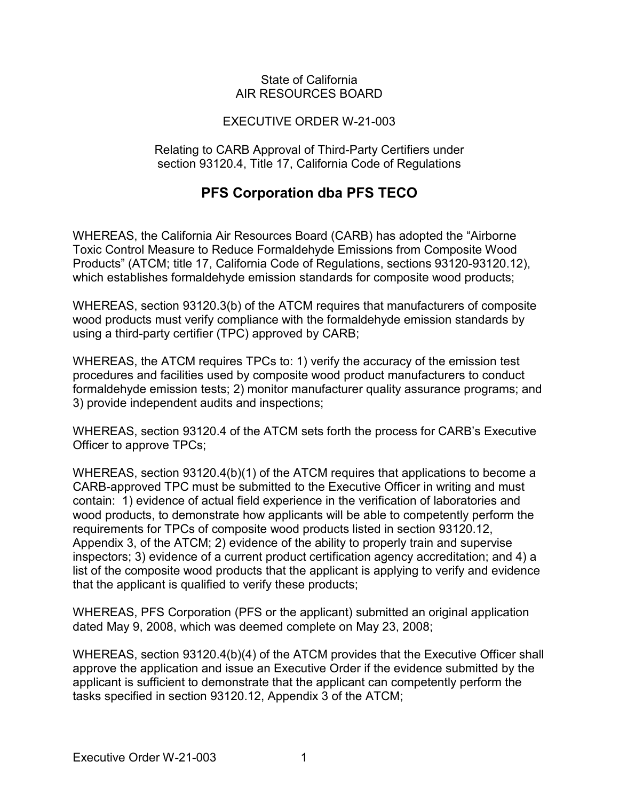#### State of California AIR RESOURCES BOARD

### EXECUTIVE ORDER W-21-003

Relating to CARB Approval of Third-Party Certifiers under section 93120.4, Title 17, California Code of Regulations

## **PFS Corporation dba PFS TECO**

 which establishes formaldehyde emission standards for composite wood products; WHEREAS, the California Air Resources Board (CARB) has adopted the "Airborne Toxic Control Measure to Reduce Formaldehyde Emissions from Composite Wood Products" (ATCM; title 17, California Code of Regulations, sections 93120-93120.12),

 using a third-party certifier (TPC) approved by CARB; WHEREAS, section 93120.3(b) of the ATCM requires that manufacturers of composite wood products must verify compliance with the formaldehyde emission standards by

 WHEREAS, the ATCM requires TPCs to: 1) verify the accuracy of the emission test formaldehyde emission tests; 2) monitor manufacturer quality assurance programs; and procedures and facilities used by composite wood product manufacturers to conduct 3) provide independent audits and inspections;

 WHEREAS, section 93120.4 of the ATCM sets forth the process for CARB's Executive Officer to approve TPCs;

 CARB-approved TPC must be submitted to the Executive Officer in writing and must contain: 1) evidence of actual field experience in the verification of laboratories and requirements for TPCs of composite wood products listed in section 93120.12, that the applicant is qualified to verify these products; WHEREAS, section 93120.4(b)(1) of the ATCM requires that applications to become a wood products, to demonstrate how applicants will be able to competently perform the Appendix 3, of the ATCM; 2) evidence of the ability to properly train and supervise inspectors; 3) evidence of a current product certification agency accreditation; and 4) a list of the composite wood products that the applicant is applying to verify and evidence

WHEREAS, PFS Corporation (PFS or the applicant) submitted an original application dated May 9, 2008, which was deemed complete on May 23, 2008;

WHEREAS, section 93120.4(b)(4) of the ATCM provides that the Executive Officer shall approve the application and issue an Executive Order if the evidence submitted by the applicant is sufficient to demonstrate that the applicant can competently perform the tasks specified in section 93120.12, Appendix 3 of the ATCM;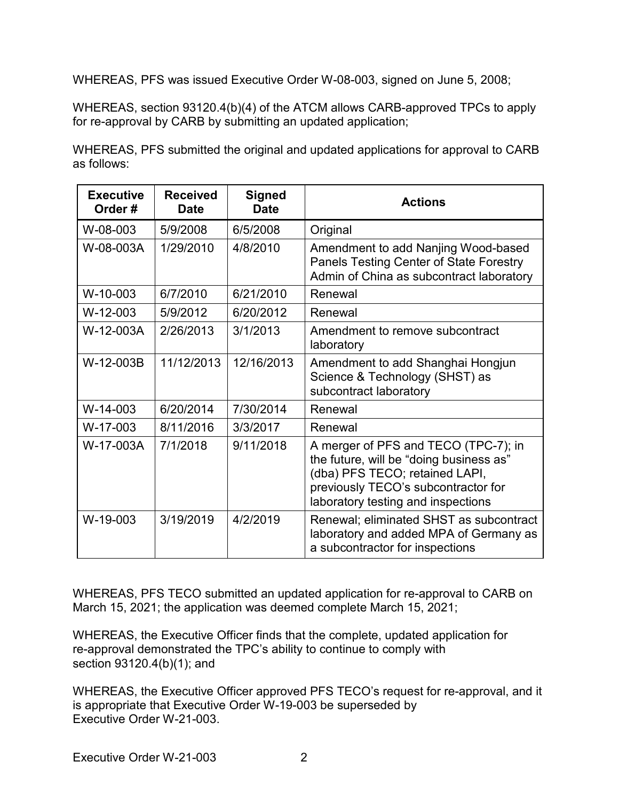WHEREAS, PFS was issued Executive Order W-08-003, signed on June 5, 2008;

WHEREAS, section 93120.4(b)(4) of the ATCM allows CARB-approved TPCs to apply for re-approval by CARB by submitting an updated application;

|             | WHEREAS, PFS submitted the original and updated applications for approval to CARB |  |  |  |
|-------------|-----------------------------------------------------------------------------------|--|--|--|
| as follows: |                                                                                   |  |  |  |

| <b>Executive</b><br>Order# | <b>Received</b><br><b>Date</b> | <b>Signed</b><br><b>Date</b> | <b>Actions</b>                                                                                                                                                                                 |  |
|----------------------------|--------------------------------|------------------------------|------------------------------------------------------------------------------------------------------------------------------------------------------------------------------------------------|--|
| W-08-003                   | 5/9/2008                       | 6/5/2008                     | Original                                                                                                                                                                                       |  |
| W-08-003A                  | 1/29/2010                      | 4/8/2010                     | Amendment to add Nanjing Wood-based<br>Panels Testing Center of State Forestry<br>Admin of China as subcontract laboratory                                                                     |  |
| W-10-003                   | 6/7/2010                       | 6/21/2010                    | Renewal                                                                                                                                                                                        |  |
| $W-12-003$                 | 5/9/2012                       | 6/20/2012                    | Renewal                                                                                                                                                                                        |  |
| W-12-003A                  | 2/26/2013                      | 3/1/2013                     | Amendment to remove subcontract<br>laboratory                                                                                                                                                  |  |
| W-12-003B                  | 11/12/2013                     | 12/16/2013                   | Amendment to add Shanghai Hongjun<br>Science & Technology (SHST) as<br>subcontract laboratory                                                                                                  |  |
| $W-14-003$                 | 6/20/2014                      | 7/30/2014                    | Renewal                                                                                                                                                                                        |  |
| W-17-003                   | 8/11/2016                      | 3/3/2017                     | Renewal                                                                                                                                                                                        |  |
| W-17-003A                  | 7/1/2018                       | 9/11/2018                    | A merger of PFS and TECO (TPC-7); in<br>the future, will be "doing business as"<br>(dba) PFS TECO; retained LAPI,<br>previously TECO's subcontractor for<br>laboratory testing and inspections |  |
| W-19-003                   | 3/19/2019                      | 4/2/2019                     | Renewal; eliminated SHST as subcontract<br>laboratory and added MPA of Germany as<br>a subcontractor for inspections                                                                           |  |

 March 15, 2021; the application was deemed complete March 15, 2021; WHEREAS, PFS TECO submitted an updated application for re-approval to CARB on

 WHEREAS, the Executive Officer finds that the complete, updated application for section 93120.4(b)(1); and re-approval demonstrated the TPC's ability to continue to comply with

 is appropriate that Executive Order W-19-003 be superseded by Executive Order W-21-003. WHEREAS, the Executive Officer approved PFS TECO's request for re-approval, and it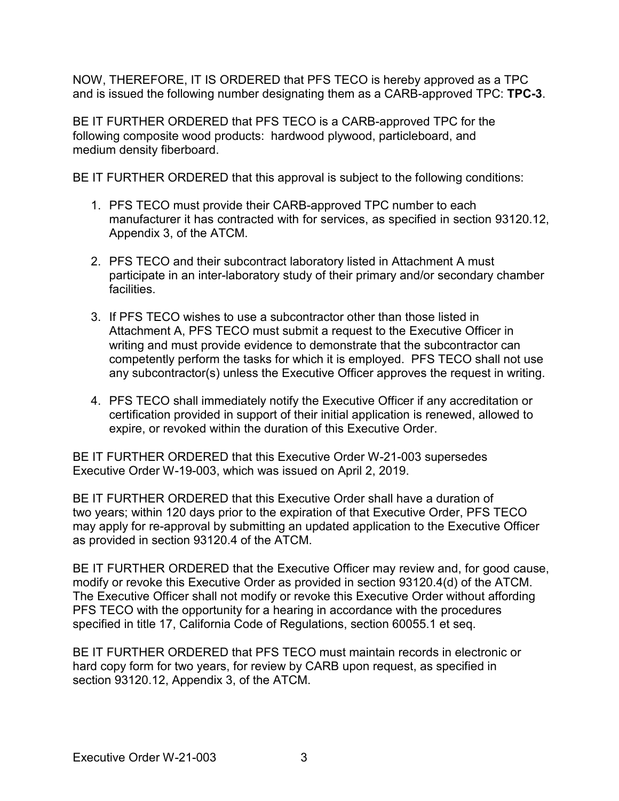NOW, THEREFORE, IT IS ORDERED that PFS TECO is hereby approved as a TPC and is issued the following number designating them as a CARB-approved TPC: **TPC-3**.

 BE IT FURTHER ORDERED that PFS TECO is a CARB-approved TPC for the following composite wood products: hardwood plywood, particleboard, and medium density fiberboard.

BE IT FURTHER ORDERED that this approval is subject to the following conditions:

- 1. PFS TECO must provide their CARB-approved TPC number to each manufacturer it has contracted with for services, as specified in section 93120.12, Appendix 3, of the ATCM.
- 2. PFS TECO and their subcontract laboratory listed in Attachment A must participate in an inter-laboratory study of their primary and/or secondary chamber facilities.
- competently perform the tasks for which it is employed. PFS TECO shall not use 3. If PFS TECO wishes to use a subcontractor other than those listed in Attachment A, PFS TECO must submit a request to the Executive Officer in writing and must provide evidence to demonstrate that the subcontractor can any subcontractor(s) unless the Executive Officer approves the request in writing.
- 4. PFS TECO shall immediately notify the Executive Officer if any accreditation or certification provided in support of their initial application is renewed, allowed to expire, or revoked within the duration of this Executive Order.

BE IT FURTHER ORDERED that this Executive Order W-21-003 supersedes Executive Order W-19-003, which was issued on April 2, 2019.

 as provided in section 93120.4 of the ATCM. BE IT FURTHER ORDERED that this Executive Order shall have a duration of two years; within 120 days prior to the expiration of that Executive Order, PFS TECO may apply for re-approval by submitting an updated application to the Executive Officer

modify or revoke this Executive Order as provided in section 93120.4(d) of the ATCM. PFS TECO with the opportunity for a hearing in accordance with the procedures BE IT FURTHER ORDERED that the Executive Officer may review and, for good cause, The Executive Officer shall not modify or revoke this Executive Order without affording specified in title 17, California Code of Regulations, section 60055.1 et seq.

BE IT FURTHER ORDERED that PFS TECO must maintain records in electronic or hard copy form for two years, for review by CARB upon request, as specified in section 93120.12, Appendix 3, of the ATCM.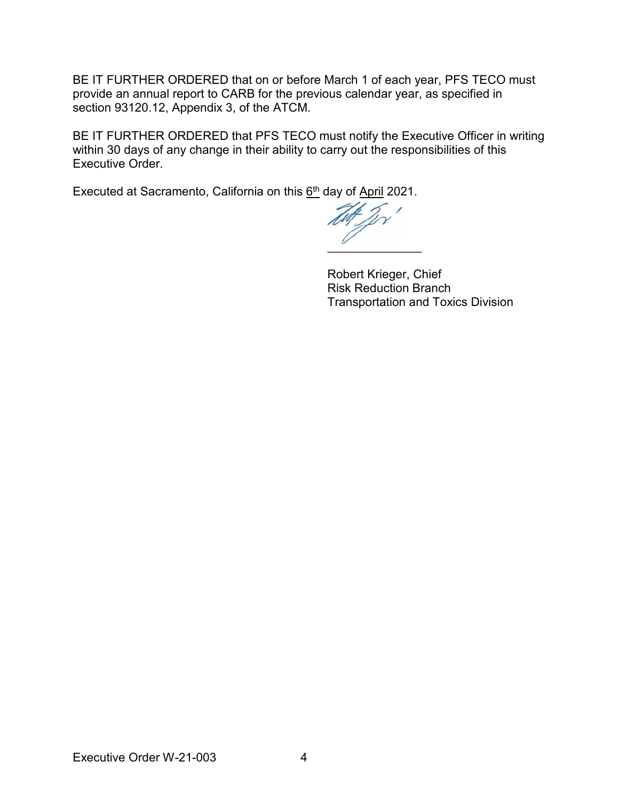BE IT FURTHER ORDERED that on or before March 1 of each year, PFS TECO must provide an annual report to CARB for the previous calendar year, as specified in section 93120.12, Appendix 3, of the ATCM.

BE IT FURTHER ORDERED that PFS TECO must notify the Executive Officer in writing within 30 days of any change in their ability to carry out the responsibilities of this Executive Order.

Executed at Sacramento, California on this <u>6th</u> day of <u>April</u> 2021.

**\_\_\_\_\_\_\_\_\_\_\_\_\_\_\_\_\_\_\_\_\_** 

Robert Krieger, Chief Risk Reduction Branch Transportation and Toxics Division